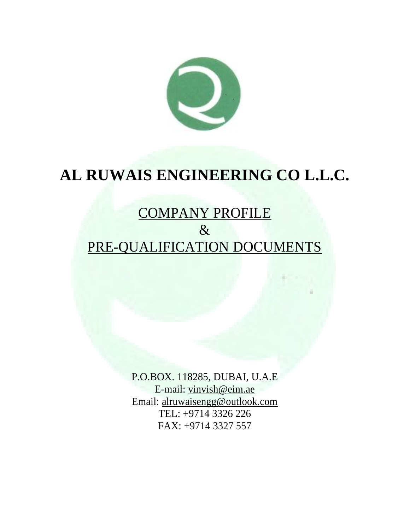

# **AL RUWAIS ENGINEERING CO L.L.C.**

## COMPANY PROFILE  $\&$ PRE-QUALIFICATION DOCUMENTS

P.O.BOX. 118285, DUBAI, U.A.E E-mail: [vinvish@eim.ae](mailto:vinvish@eim.ae) Email: alruwaisengg@outlook.com TEL: +9714 3326 226 FAX: +9714 3327 557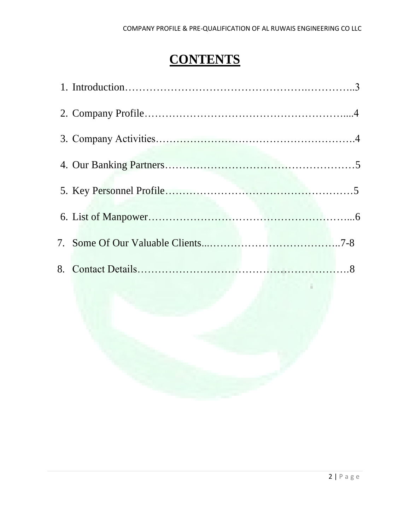### **CONTENTS**

| 8. |  |
|----|--|
|    |  |
|    |  |
|    |  |
|    |  |
|    |  |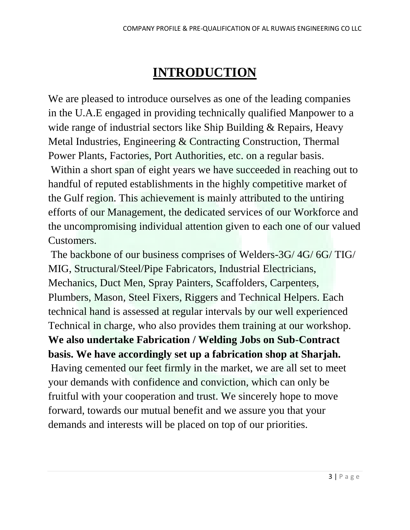### **INTRODUCTION**

We are pleased to introduce ourselves as one of the leading companies in the U.A.E engaged in providing technically qualified Manpower to a wide range of industrial sectors like Ship Building & Repairs, Heavy Metal Industries, Engineering & Contracting Construction, Thermal Power Plants, Factories, Port Authorities, etc. on a regular basis.

Within a short span of eight years we have succeeded in reaching out to handful of reputed establishments in the highly competitive market of the Gulf region. This achievement is mainly attributed to the untiring efforts of our Management, the dedicated services of our Workforce and the uncompromising individual attention given to each one of our valued Customers.

The backbone of our business comprises of Welders-3G/ 4G/ 6G/ TIG/ MIG, Structural/Steel/Pipe Fabricators, Industrial Electricians, Mechanics, Duct Men, Spray Painters, Scaffolders, Carpenters, Plumbers, Mason, Steel Fixers, Riggers and Technical Helpers. Each technical hand is assessed at regular intervals by our well experienced Technical in charge, who also provides them training at our workshop. **We also undertake Fabrication / Welding Jobs on Sub-Contract basis. We have accordingly set up a fabrication shop at Sharjah.** Having cemented our feet firmly in the market, we are all set to meet your demands with confidence and conviction, which can only be fruitful with your cooperation and trust. We sincerely hope to move forward, towards our mutual benefit and we assure you that your demands and interests will be placed on top of our priorities.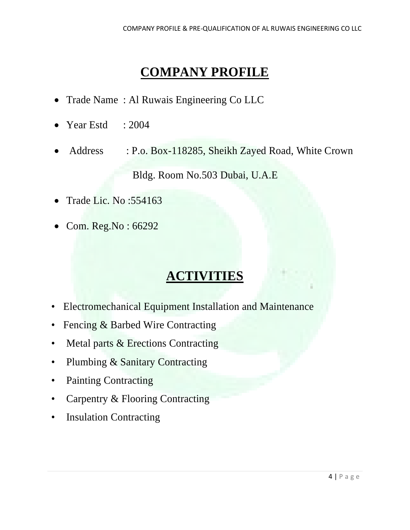#### **COMPANY PROFILE**

- Trade Name: Al Ruwais Engineering Co LLC
- Year Estd  $: 2004$
- Address : P.o. Box-118285, Sheikh Zayed Road, White Crown

Bldg. Room No.503 Dubai, U.A.E

- Trade Lic. No :554163
- Com. Reg.No : 66292

#### **ACTIVITIES**

- Electromechanical Equipment Installation and Maintenance
- Fencing & Barbed Wire Contracting
- Metal parts & Erections Contracting
- Plumbing & Sanitary Contracting
- Painting Contracting
- Carpentry & Flooring Contracting
- Insulation Contracting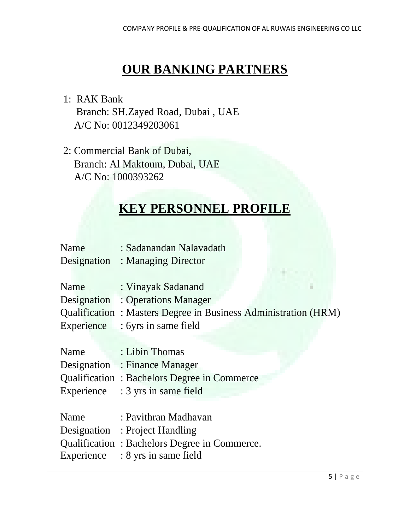### **OUR BANKING PARTNERS**

- 1: RAK Bank Branch: SH.Zayed Road, Dubai , UAE A/C No: 0012349203061
- 2: Commercial Bank of Dubai, Branch: Al Maktoum, Dubai, UAE A/C No: 1000393262

#### **KEY PERSONNEL PROFILE**

| Name | : Sadanandan Nalavadath         |
|------|---------------------------------|
|      | Designation : Managing Director |

| Name | : Vinayak Sadanand                                             |
|------|----------------------------------------------------------------|
|      | Designation : Operations Manager                               |
|      | Qualification: Masters Degree in Business Administration (HRM) |
|      | Experience : 6yrs in same field                                |

| Name | : Libin Thomas                              |
|------|---------------------------------------------|
|      | Designation : Finance Manager               |
|      | Qualification: Bachelors Degree in Commerce |
|      | Experience : 3 yrs in same field            |

| Name | : Pavithran Madhavan                         |
|------|----------------------------------------------|
|      | Designation : Project Handling               |
|      | Qualification: Bachelors Degree in Commerce. |
|      | Experience $: 8 \text{ yrs}$ in same field   |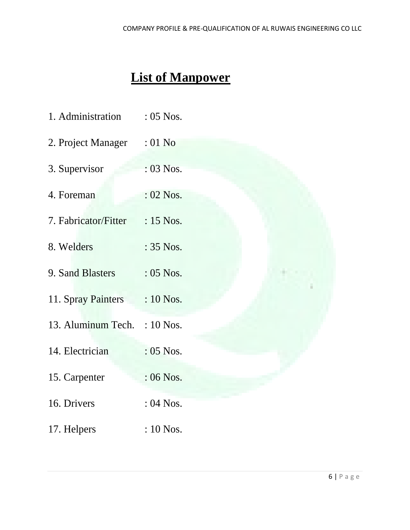## **List of Manpower**

| 1. Administration            | : 05 Nos.   |  |
|------------------------------|-------------|--|
| 2. Project Manager : 01 No   |             |  |
| 3. Supervisor                | : 03 Nos.   |  |
| 4. Foreman                   | : 02 Nos.   |  |
| 7. Fabricator/Fitter         | : 15 Nos.   |  |
| 8. Welders                   | : 35 Nos.   |  |
| 9. Sand Blasters             | $: 05$ Nos. |  |
| 11. Spray Painters           | : 10 Nos.   |  |
| 13. Aluminum Tech. : 10 Nos. |             |  |
| 14. Electrician              | : 05 Nos.   |  |
| 15. Carpenter                | : 06 Nos.   |  |
| 16. Drivers                  | : 04 Nos.   |  |
| 17. Helpers                  | : 10 Nos.   |  |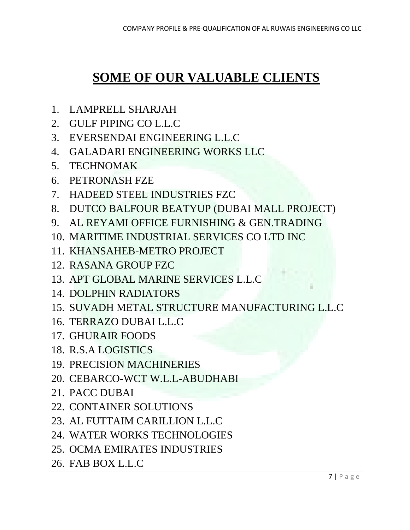### **SOME OF OUR VALUABLE CLIENTS**

- 1. LAMPRELL SHARJAH
- 2. GULF PIPING CO L.L.C
- 3. EVERSENDAI ENGINEERING L.L.C
- 4. GALADARI ENGINEERING WORKS LLC
- 5. TECHNOMAK
- 6. PETRONASH FZE
- 7. HADEED STEEL INDUSTRIES FZC
- 8. DUTCO BALFOUR BEATYUP (DUBAI MALL PROJECT)
- 9. AL REYAMI OFFICE FURNISHING & GEN.TRADING
- 10. MARITIME INDUSTRIAL SERVICES CO LTD INC
- 11. KHANSAHEB-METRO PROJECT
- 12. RASANA GROUP FZC
- 13. APT GLOBAL MARINE SERVICES L.L.C
- 14. DOLPHIN RADIATORS
- 15. SUVADH METAL STRUCTURE MANUFACTURING L.L.C
- 16. TERRAZO DUBAI L.L.C
- 17. GHURAIR FOODS
- 18. R.S.A LOGISTICS
- 19. PRECISION MACHINERIES
- 20. CEBARCO-WCT W.L.L-ABUDHABI
- 21. PACC DUBAI
- 22. CONTAINER SOLUTIONS
- 23. AL FUTTAIM CARILLION L.L.C
- 24. WATER WORKS TECHNOLOGIES
- 25. OCMA EMIRATES INDUSTRIES
- 26. FAB BOX L.L.C